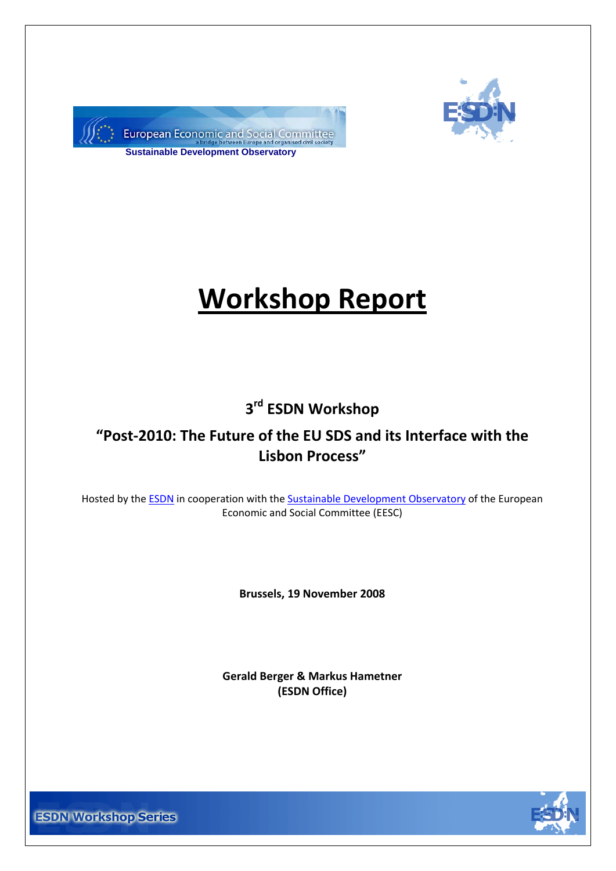



# **Workshop Report**

# **3rd ESDN Workshop**

## **"Post‐2010: The Future of the EU SDS and its Interface with the Lisbon Process"**

Hosted by the [ESDN](http://www.sd-network.eu/) in cooperation with the Sustainable [Development](http://eesc.europa.eu/sections/sdo/index_en.asp?id=1001sdoen) Observatory of the European Economic and Social Committee (EESC)

**Brussels, 19 November 2008**

**Gerald Berger & Markus Hametner (ESDN Office)**

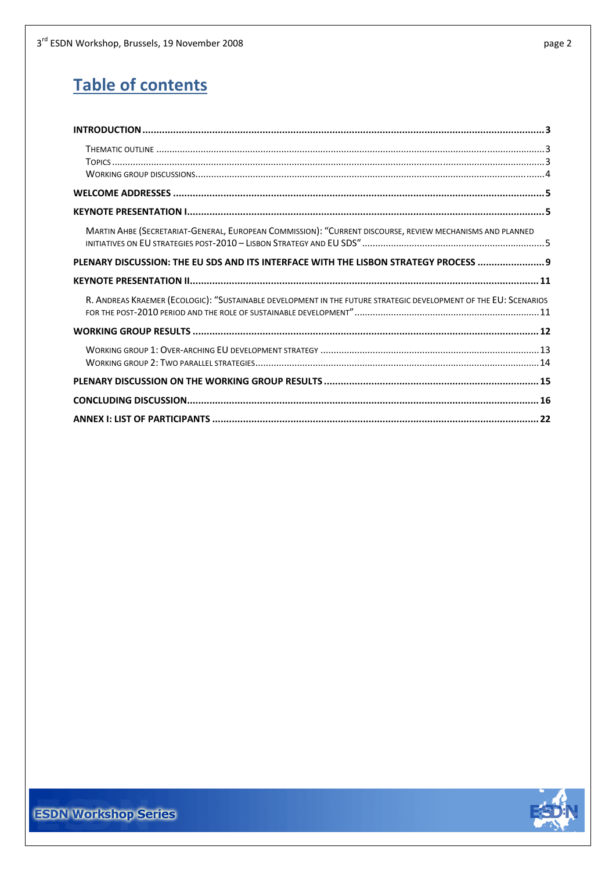# **Table of contents**

| MARTIN AHBE (SECRETARIAT-GENERAL, EUROPEAN COMMISSION): "CURRENT DISCOURSE, REVIEW MECHANISMS AND PLANNED        |
|------------------------------------------------------------------------------------------------------------------|
| PLENARY DISCUSSION: THE EU SDS AND ITS INTERFACE WITH THE LISBON STRATEGY PROCESS                                |
|                                                                                                                  |
| R. ANDREAS KRAEMER (ECOLOGIC): "SUSTAINABLE DEVELOPMENT IN THE FUTURE STRATEGIC DEVELOPMENT OF THE EU: SCENARIOS |
|                                                                                                                  |
|                                                                                                                  |
|                                                                                                                  |
|                                                                                                                  |
|                                                                                                                  |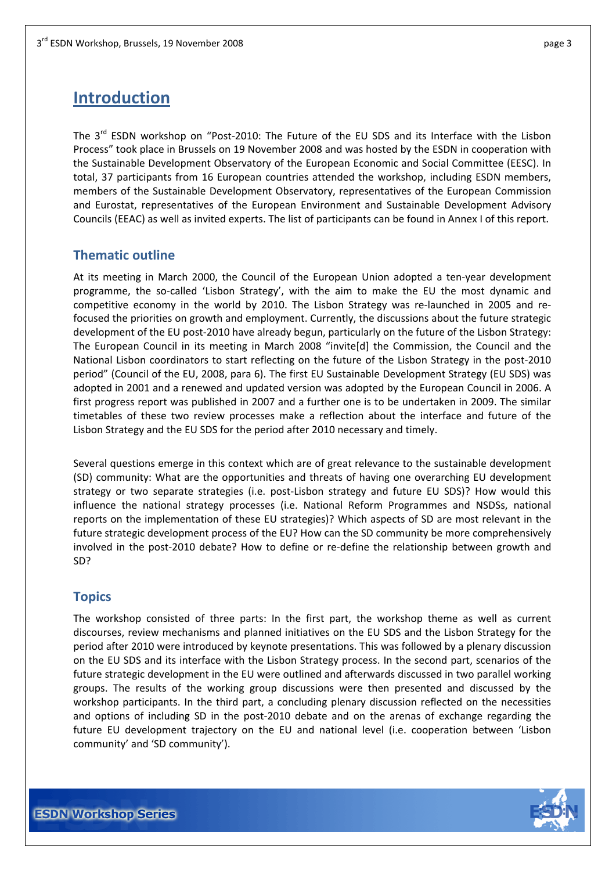# <span id="page-2-0"></span>**Introduction**

The 3<sup>rd</sup> ESDN workshop on "Post-2010: The Future of the EU SDS and its Interface with the Lisbon Process" took place in Brussels on 19 November 2008 and was hosted by the ESDN in cooperation with the Sustainable Development Observatory of the European Economic and Social Committee (EESC). In total, 37 participants from 16 European countries attended the workshop, including ESDN members, members of the Sustainable Development Observatory, representatives of the European Commission and Eurostat, representatives of the European Environment and Sustainable Development Advisory Councils (EEAC) as well as invited experts. The list of participants can be found in Annex I of this report.

#### **Thematic outline**

At its meeting in March 2000, the Council of the European Union adopted a ten‐year development programme, the so-called 'Lisbon Strategy', with the aim to make the EU the most dynamic and competitive economy in the world by 2010. The Lisbon Strategy was re‐launched in 2005 and re‐ focused the priorities on growth and employment. Currently, the discussions about the future strategic development of the EU post‐2010 have already begun, particularly on the future of the Lisbon Strategy: The European Council in its meeting in March 2008 "invite[d] the Commission, the Council and the National Lisbon coordinators to start reflecting on the future of the Lisbon Strategy in the post‐2010 period" (Council of the EU, 2008, para 6). The first EU Sustainable Development Strategy (EU SDS) was adopted in 2001 and a renewed and updated version was adopted by the European Council in 2006. A first progress report was published in 2007 and a further one is to be undertaken in 2009. The similar timetables of these two review processes make a reflection about the interface and future of the Lisbon Strategy and the EU SDS for the period after 2010 necessary and timely.

Several questions emerge in this context which are of great relevance to the sustainable development (SD) community: What are the opportunities and threats of having one overarching EU development strategy or two separate strategies (i.e. post-Lisbon strategy and future EU SDS)? How would this influence the national strategy processes (i.e. National Reform Programmes and NSDSs, national reports on the implementation of these EU strategies)? Which aspects of SD are most relevant in the future strategic development process of the EU? How can the SD community be more comprehensively involved in the post-2010 debate? How to define or re-define the relationship between growth and SD?

#### **Topics**

The workshop consisted of three parts: In the first part, the workshop theme as well as current discourses, review mechanisms and planned initiatives on the EU SDS and the Lisbon Strategy for the period after 2010 were introduced by keynote presentations. This was followed by a plenary discussion on the EU SDS and its interface with the Lisbon Strategy process. In the second part, scenarios of the future strategic development in the EU were outlined and afterwards discussed in two parallel working groups. The results of the working group discussions were then presented and discussed by the workshop participants. In the third part, a concluding plenary discussion reflected on the necessities and options of including SD in the post-2010 debate and on the arenas of exchange regarding the future EU development trajectory on the EU and national level (i.e. cooperation between 'Lisbon community' and 'SD community').

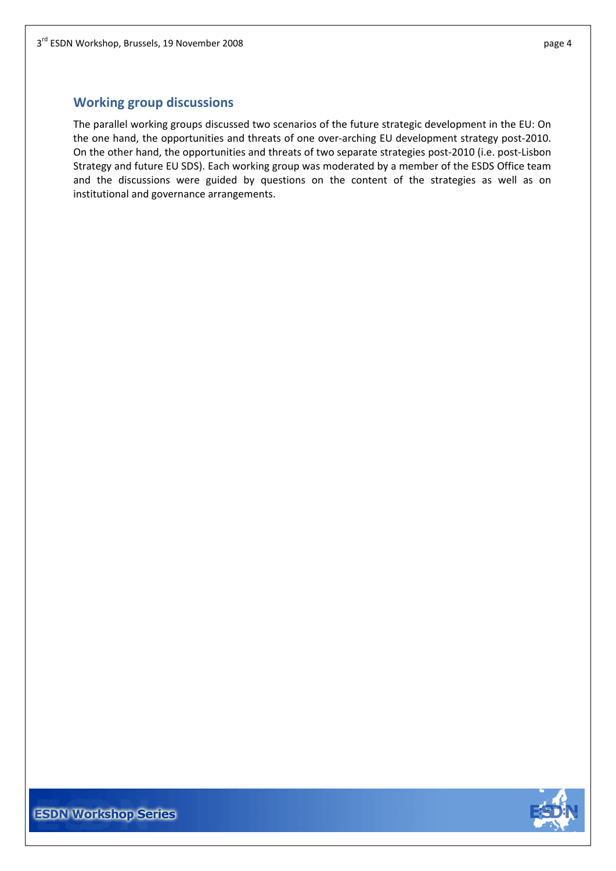#### <span id="page-3-0"></span>**Working group discussions**

The parallel working groups discussed two scenarios of the future strategic development in the EU: On the one hand, the opportunities and threats of one over-arching EU development strategy post-2010. On the other hand, the opportunities and threats of two separate strategies post‐2010 (i.e. post‐Lisbon Strategy and future EU SDS). Each working group was moderated by a member of the ESDS Office team and the discussions were guided by questions on the content of the strategies as well as on institutional and governance arrangements.

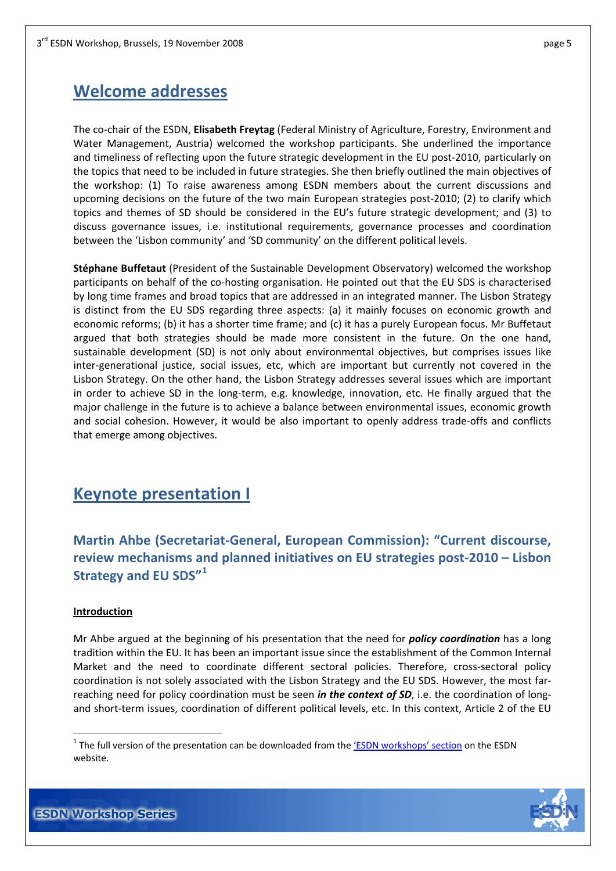# <span id="page-4-0"></span>**Welcome addresses**

The co‐chair of the ESDN, **Elisabeth Freytag** (Federal Ministry of Agriculture, Forestry, Environment and Water Management, Austria) welcomed the workshop participants. She underlined the importance and timeliness of reflecting upon the future strategic development in the EU post-2010, particularly on the topics that need to be included in future strategies. She then briefly outlined the main objectives of the workshop: (1) To raise awareness among ESDN members about the current discussions and upcoming decisions on the future of the two main European strategies post-2010; (2) to clarify which topics and themes of SD should be considered in the EU's future strategic development; and (3) to discuss governance issues, i.e. institutional requirements, governance processes and coordination between the 'Lisbon community' and 'SD community' on the different political levels.

**Stéphane Buffetaut** (President of the Sustainable Development Observatory) welcomed the workshop participants on behalf of the co-hosting organisation. He pointed out that the EU SDS is characterised by long time frames and broad topics that are addressed in an integrated manner. The Lisbon Strategy is distinct from the EU SDS regarding three aspects: (a) it mainly focuses on economic growth and economic reforms; (b) it has a shorter time frame; and (c) it has a purely European focus. Mr Buffetaut argued that both strategies should be made more consistent in the future. On the one hand, sustainable development (SD) is not only about environmental objectives, but comprises issues like inter-generational justice, social issues, etc, which are important but currently not covered in the Lisbon Strategy. On the other hand, the Lisbon Strategy addresses several issues which are important in order to achieve SD in the long‐term, e.g. knowledge, innovation, etc. He finally argued that the major challenge in the future is to achieve a balance between environmental issues, economic growth and social cohesion. However, it would be also important to openly address trade‐offs and conflicts that emerge among objectives.

# **Keynote presentation I**

**Martin Ahbe (Secretariat‐General, European Commission): "Current discourse, review mechanisms and planned initiatives on EU strategies post‐2010 – Lisbon Strategy and EU SDS"[1](#page-4-1)**

#### **Introduction**

Mr Ahbe argued at the beginning of his presentation that the need for *policy coordination* has a long tradition within the EU. It has been an important issue since the establishment of the Common Internal Market and the need to coordinate different sectoral policies. Therefore, cross-sectoral policy coordination is not solely associated with the Lisbon Strategy and the EU SDS. However, the most far‐ reaching need for policy coordination must be seen *in the context of SD*, i.e. the coordination of long‐ and short-term issues, coordination of different political levels, etc. In this context, Article 2 of the EU

<span id="page-4-1"></span><sup>&</sup>lt;sup>1</sup> The full version of the presentation can be downloaded from the 'ESDN [workshops'](http://www.sd-network.eu/?k=ESDN%20workshops) section on the ESDN website.



<u>.</u>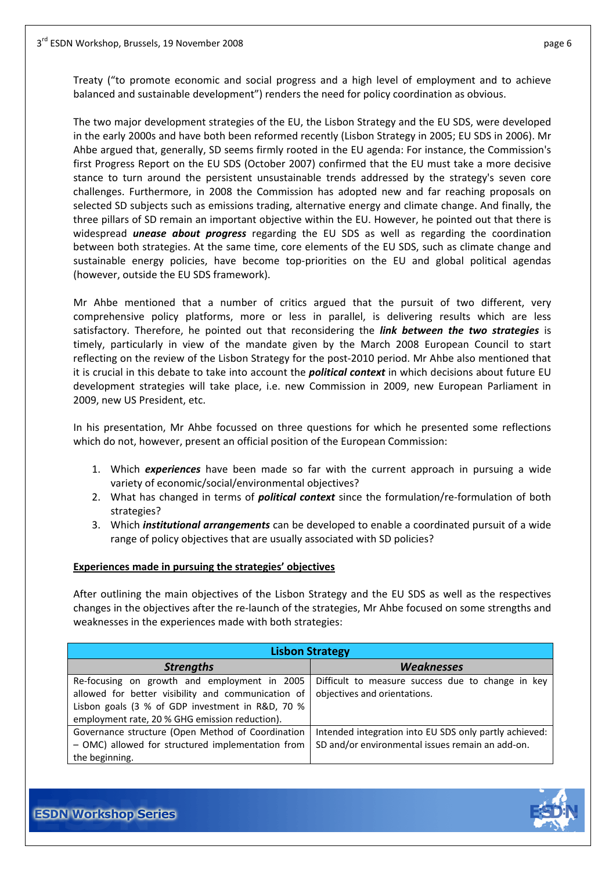Treaty ("to promote economic and social progress and a high level of employment and to achieve balanced and sustainable development") renders the need for policy coordination as obvious.

The two major development strategies of the EU, the Lisbon Strategy and the EU SDS, were developed in the early 2000s and have both been reformed recently (Lisbon Strategy in 2005; EU SDS in 2006). Mr Ahbe argued that, generally, SD seems firmly rooted in the EU agenda: For instance, the Commission's first Progress Report on the EU SDS (October 2007) confirmed that the EU must take a more decisive stance to turn around the persistent unsustainable trends addressed by the strategy's seven core challenges. Furthermore, in 2008 the Commission has adopted new and far reaching proposals on selected SD subjects such as emissions trading, alternative energy and climate change. And finally, the three pillars of SD remain an important objective within the EU. However, he pointed out that there is widespread *unease about progress* regarding the EU SDS as well as regarding the coordination between both strategies. At the same time, core elements of the EU SDS, such as climate change and sustainable energy policies, have become top-priorities on the EU and global political agendas (however, outside the EU SDS framework).

Mr Ahbe mentioned that a number of critics argued that the pursuit of two different, very comprehensive policy platforms, more or less in parallel, is delivering results which are less satisfactory. Therefore, he pointed out that reconsidering the *link between the two strategies* is timely, particularly in view of the mandate given by the March 2008 European Council to start reflecting on the review of the Lisbon Strategy for the post‐2010 period. Mr Ahbe also mentioned that it is crucial in this debate to take into account the *political context* in which decisions about future EU development strategies will take place, i.e. new Commission in 2009, new European Parliament in 2009, new US President, etc.

In his presentation, Mr Ahbe focussed on three questions for which he presented some reflections which do not, however, present an official position of the European Commission:

- 1. Which *experiences* have been made so far with the current approach in pursuing a wide variety of economic/social/environmental objectives?
- 2. What has changed in terms of *political context* since the formulation/re‐formulation of both strategies?
- 3. Which *institutional arrangements* can be developed to enable a coordinated pursuit of a wide range of policy objectives that are usually associated with SD policies?

#### **Experiences made in pursuing the strategies' objectives**

After outlining the main objectives of the Lisbon Strategy and the EU SDS as well as the respectives changes in the objectives after the re‐launch of the strategies, Mr Ahbe focused on some strengths and weaknesses in the experiences made with both strategies:

| <b>Lisbon Strategy</b>                             |                                                        |  |  |  |
|----------------------------------------------------|--------------------------------------------------------|--|--|--|
| <b>Strengths</b>                                   | <b>Weaknesses</b>                                      |  |  |  |
| Re-focusing on growth and employment in 2005       | Difficult to measure success due to change in key      |  |  |  |
| allowed for better visibility and communication of | objectives and orientations.                           |  |  |  |
| Lisbon goals (3 % of GDP investment in R&D, 70 %   |                                                        |  |  |  |
| employment rate, 20 % GHG emission reduction).     |                                                        |  |  |  |
| Governance structure (Open Method of Coordination  | Intended integration into EU SDS only partly achieved: |  |  |  |
| - OMC) allowed for structured implementation from  | SD and/or environmental issues remain an add-on.       |  |  |  |
| the beginning.                                     |                                                        |  |  |  |

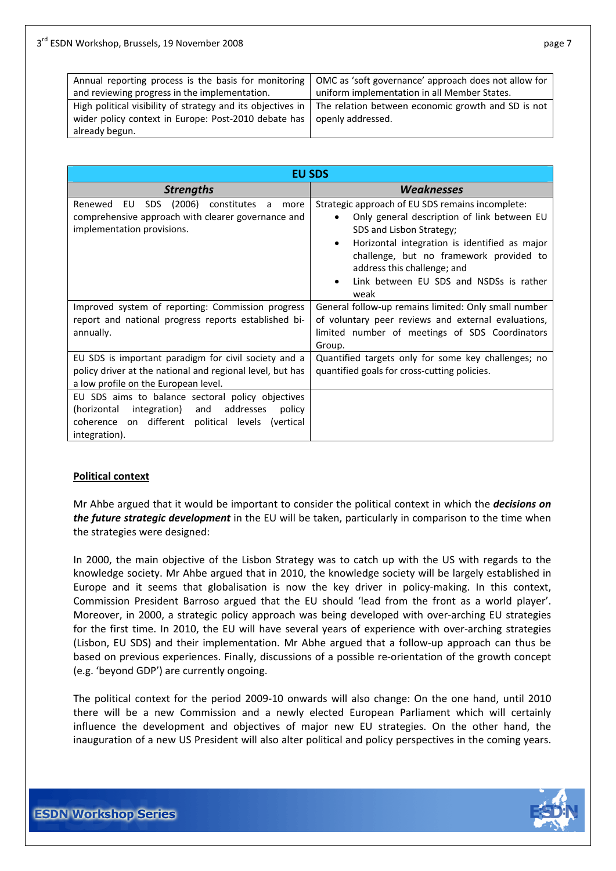|                                                                                                                  | Annual reporting process is the basis for monitoring   OMC as 'soft governance' approach does not allow for |
|------------------------------------------------------------------------------------------------------------------|-------------------------------------------------------------------------------------------------------------|
| and reviewing progress in the implementation.                                                                    | uniform implementation in all Member States.                                                                |
| High political visibility of strategy and its objectives in   The relation between economic growth and SD is not |                                                                                                             |
| wider policy context in Europe: Post-2010 debate has   openly addressed.                                         |                                                                                                             |
| already begun.                                                                                                   |                                                                                                             |

| <b>EU SDS</b>                                                                                                                                                                         |                                                                                                                                                                                                                                                                                                                                     |  |  |  |
|---------------------------------------------------------------------------------------------------------------------------------------------------------------------------------------|-------------------------------------------------------------------------------------------------------------------------------------------------------------------------------------------------------------------------------------------------------------------------------------------------------------------------------------|--|--|--|
| <b>Strengths</b>                                                                                                                                                                      | <b>Weaknesses</b>                                                                                                                                                                                                                                                                                                                   |  |  |  |
| SDS<br>(2006) constitutes<br>Renewed<br>EU<br>more<br>a<br>comprehensive approach with clearer governance and<br>implementation provisions.                                           | Strategic approach of EU SDS remains incomplete:<br>Only general description of link between EU<br>$\bullet$<br>SDS and Lisbon Strategy;<br>Horizontal integration is identified as major<br>$\bullet$<br>challenge, but no framework provided to<br>address this challenge; and<br>Link between EU SDS and NSDSs is rather<br>weak |  |  |  |
| Improved system of reporting: Commission progress<br>report and national progress reports established bi-<br>annually.                                                                | General follow-up remains limited: Only small number<br>of voluntary peer reviews and external evaluations,<br>limited number of meetings of SDS Coordinators<br>Group.                                                                                                                                                             |  |  |  |
| EU SDS is important paradigm for civil society and a<br>policy driver at the national and regional level, but has<br>a low profile on the European level.                             | Quantified targets only for some key challenges; no<br>quantified goals for cross-cutting policies.                                                                                                                                                                                                                                 |  |  |  |
| EU SDS aims to balance sectoral policy objectives<br>integration) and addresses<br>(horizontal<br>policy<br>coherence on different<br>political levels<br>(vertical)<br>integration). |                                                                                                                                                                                                                                                                                                                                     |  |  |  |

#### **Political context**

Mr Ahbe argued that it would be important to consider the political context in which the *decisions on the future strategic development* in the EU will be taken, particularly in comparison to the time when the strategies were designed:

In 2000, the main objective of the Lisbon Strategy was to catch up with the US with regards to the knowledge society. Mr Ahbe argued that in 2010, the knowledge society will be largely established in Europe and it seems that globalisation is now the key driver in policy-making. In this context, Commission President Barroso argued that the EU should 'lead from the front as a world player'. Moreover, in 2000, a strategic policy approach was being developed with over-arching EU strategies for the first time. In 2010, the EU will have several years of experience with over-arching strategies (Lisbon, EU SDS) and their implementation. Mr Abhe argued that a follow‐up approach can thus be based on previous experiences. Finally, discussions of a possible re‐orientation of the growth concept (e.g. 'beyond GDP') are currently ongoing.

The political context for the period 2009‐10 onwards will also change: On the one hand, until 2010 there will be a new Commission and a newly elected European Parliament which will certainly influence the development and objectives of major new EU strategies. On the other hand, the inauguration of a new US President will also alter political and policy perspectives in the coming years.

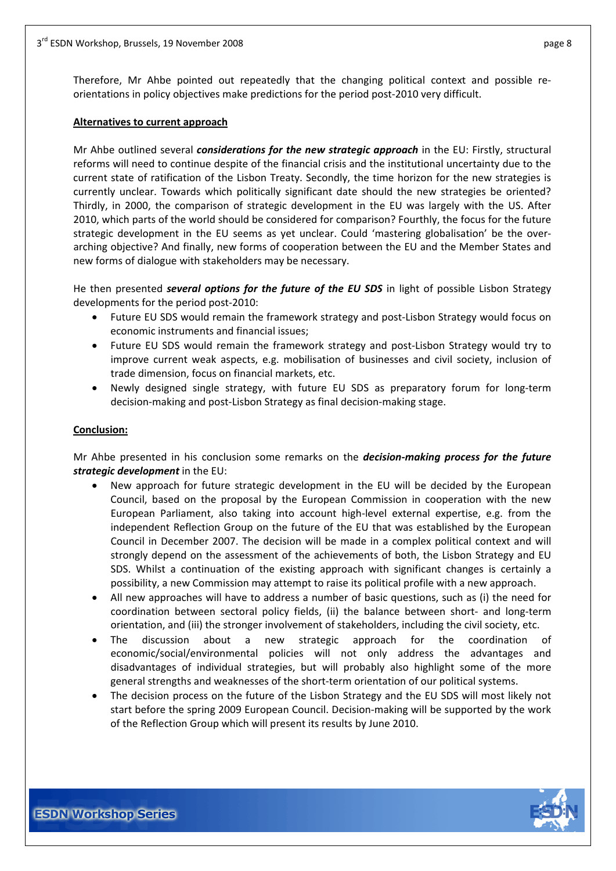Therefore, Mr Ahbe pointed out repeatedly that the changing political context and possible re‐ orientations in policy objectives make predictions for the period post‐2010 very difficult.

#### **Alternatives to current approach**

Mr Ahbe outlined several *considerations for the new strategic approach* in the EU: Firstly, structural reforms will need to continue despite of the financial crisis and the institutional uncertainty due to the current state of ratification of the Lisbon Treaty. Secondly, the time horizon for the new strategies is currently unclear. Towards which politically significant date should the new strategies be oriented? Thirdly, in 2000, the comparison of strategic development in the EU was largely with the US. After 2010, which parts of the world should be considered for comparison? Fourthly, the focus for the future strategic development in the EU seems as yet unclear. Could 'mastering globalisation' be the over‐ arching objective? And finally, new forms of cooperation between the EU and the Member States and new forms of dialogue with stakeholders may be necessary.

He then presented *several options for the future of the EU SDS* in light of possible Lisbon Strategy developments for the period post‐2010:

- Future EU SDS would remain the framework strategy and post‐Lisbon Strategy would focus on economic instruments and financial issues;
- Future EU SDS would remain the framework strategy and post‐Lisbon Strategy would try to improve current weak aspects, e.g. mobilisation of businesses and civil society, inclusion of trade dimension, focus on financial markets, etc.
- Newly designed single strategy, with future EU SDS as preparatory forum for long-term decision‐making and post‐Lisbon Strategy as final decision‐making stage.

#### **Conclusion:**

Mr Ahbe presented in his conclusion some remarks on the *decision‐making process for the future strategic development* in the EU:

- New approach for future strategic development in the EU will be decided by the European Council, based on the proposal by the European Commission in cooperation with the new European Parliament, also taking into account high‐level external expertise, e.g. from the independent Reflection Group on the future of the EU that was established by the European Council in December 2007. The decision will be made in a complex political context and will strongly depend on the assessment of the achievements of both, the Lisbon Strategy and EU SDS. Whilst a continuation of the existing approach with significant changes is certainly a possibility, a new Commission may attempt to raise its political profile with a new approach.
- All new approaches will have to address a number of basic questions, such as (i) the need for coordination between sectoral policy fields, (ii) the balance between short‐ and long‐term orientation, and (iii) the stronger involvement of stakeholders, including the civil society, etc.
- The discussion about a new strategic approach for the coordination of economic/social/environmental policies will not only address the advantages and disadvantages of individual strategies, but will probably also highlight some of the more general strengths and weaknesses of the short‐term orientation of our political systems.
- The decision process on the future of the Lisbon Strategy and the EU SDS will most likely not start before the spring 2009 European Council. Decision‐making will be supported by the work of the Reflection Group which will present its results by June 2010.

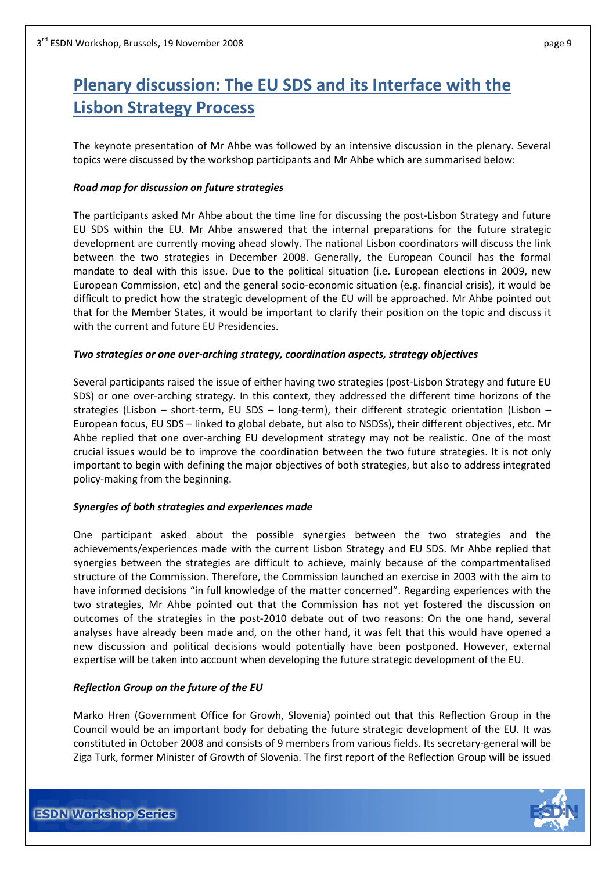# <span id="page-8-0"></span>**Plenary discussion: The EU SDS and its Interface with the Lisbon Strategy Process**

The keynote presentation of Mr Ahbe was followed by an intensive discussion in the plenary. Several topics were discussed by the workshop participants and Mr Ahbe which are summarised below:

#### *Road map for discussion on future strategies*

The participants asked Mr Ahbe about the time line for discussing the post-Lisbon Strategy and future EU SDS within the EU. Mr Ahbe answered that the internal preparations for the future strategic development are currently moving ahead slowly. The national Lisbon coordinators will discuss the link between the two strategies in December 2008. Generally, the European Council has the formal mandate to deal with this issue. Due to the political situation (i.e. European elections in 2009, new European Commission, etc) and the general socio‐economic situation (e.g. financial crisis), it would be difficult to predict how the strategic development of the EU will be approached. Mr Ahbe pointed out that for the Member States, it would be important to clarify their position on the topic and discuss it with the current and future EU Presidencies.

#### *Two strategies or one over‐arching strategy, coordination aspects, strategy objectives*

Several participants raised the issue of either having two strategies (post‐Lisbon Strategy and future EU SDS) or one over-arching strategy. In this context, they addressed the different time horizons of the strategies (Lisbon – short-term, EU SDS – long-term), their different strategic orientation (Lisbon – European focus, EU SDS – linked to global debate, but also to NSDSs), their different objectives, etc. Mr Ahbe replied that one over‐arching EU development strategy may not be realistic. One of the most crucial issues would be to improve the coordination between the two future strategies. It is not only important to begin with defining the major objectives of both strategies, but also to address integrated policy‐making from the beginning.

#### *Synergies of both strategies and experiences made*

One participant asked about the possible synergies between the two strategies and the achievements/experiences made with the current Lisbon Strategy and EU SDS. Mr Ahbe replied that synergies between the strategies are difficult to achieve, mainly because of the compartmentalised structure of the Commission. Therefore, the Commission launched an exercise in 2003 with the aim to have informed decisions "in full knowledge of the matter concerned". Regarding experiences with the two strategies, Mr Ahbe pointed out that the Commission has not yet fostered the discussion on outcomes of the strategies in the post‐2010 debate out of two reasons: On the one hand, several analyses have already been made and, on the other hand, it was felt that this would have opened a new discussion and political decisions would potentially have been postponed. However, external expertise will be taken into account when developing the future strategic development of the EU.

#### *Reflection Group on the future of the EU*

Marko Hren (Government Office for Growh, Slovenia) pointed out that this Reflection Group in the Council would be an important body for debating the future strategic development of the EU. It was constituted in October 2008 and consists of 9 members from various fields. Its secretary-general will be Ziga Turk, former Minister of Growth of Slovenia. The first report of the Reflection Group will be issued

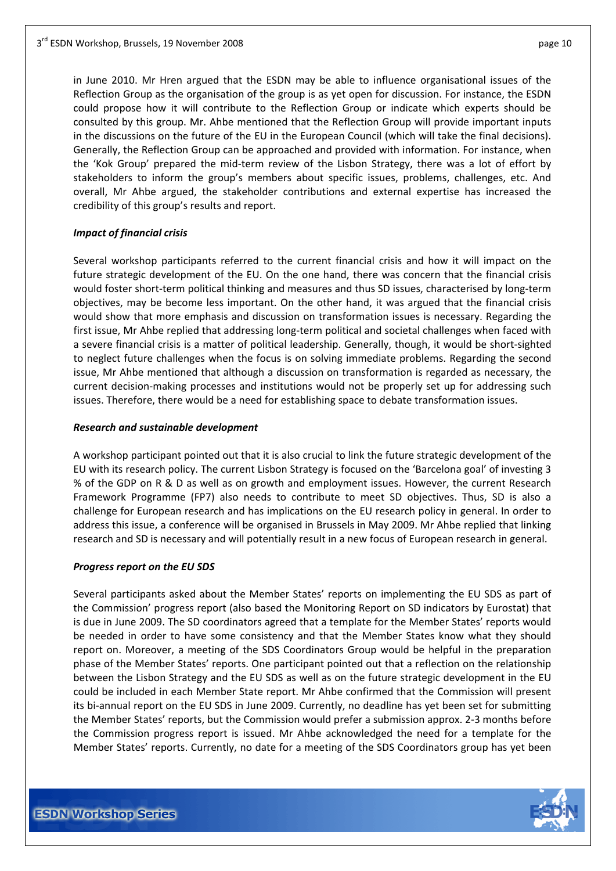in June 2010. Mr Hren argued that the ESDN may be able to influence organisational issues of the Reflection Group as the organisation of the group is as yet open for discussion. For instance, the ESDN could propose how it will contribute to the Reflection Group or indicate which experts should be consulted by this group. Mr. Ahbe mentioned that the Reflection Group will provide important inputs in the discussions on the future of the EU in the European Council (which will take the final decisions). Generally, the Reflection Group can be approached and provided with information. For instance, when the 'Kok Group' prepared the mid‐term review of the Lisbon Strategy, there was a lot of effort by stakeholders to inform the group's members about specific issues, problems, challenges, etc. And overall, Mr Ahbe argued, the stakeholder contributions and external expertise has increased the credibility of this group's results and report.

#### *Impact of financial crisis*

Several workshop participants referred to the current financial crisis and how it will impact on the future strategic development of the EU. On the one hand, there was concern that the financial crisis would foster short-term political thinking and measures and thus SD issues, characterised by long-term objectives, may be become less important. On the other hand, it was argued that the financial crisis would show that more emphasis and discussion on transformation issues is necessary. Regarding the first issue, Mr Ahbe replied that addressing long-term political and societal challenges when faced with a severe financial crisis is a matter of political leadership. Generally, though, it would be short‐sighted to neglect future challenges when the focus is on solving immediate problems. Regarding the second issue, Mr Ahbe mentioned that although a discussion on transformation is regarded as necessary, the current decision-making processes and institutions would not be properly set up for addressing such issues. Therefore, there would be a need for establishing space to debate transformation issues.

#### *Research and sustainable development*

A workshop participant pointed out that it is also crucial to link the future strategic development of the EU with its research policy. The current Lisbon Strategy is focused on the 'Barcelona goal' of investing 3 % of the GDP on R & D as well as on growth and employment issues. However, the current Research Framework Programme (FP7) also needs to contribute to meet SD objectives. Thus, SD is also a challenge for European research and has implications on the EU research policy in general. In order to address this issue, a conference will be organised in Brussels in May 2009. Mr Ahbe replied that linking research and SD is necessary and will potentially result in a new focus of European research in general.

#### *Progress report on the EU SDS*

Several participants asked about the Member States' reports on implementing the EU SDS as part of the Commission' progress report (also based the Monitoring Report on SD indicators by Eurostat) that is due in June 2009. The SD coordinators agreed that a template for the Member States' reports would be needed in order to have some consistency and that the Member States know what they should report on. Moreover, a meeting of the SDS Coordinators Group would be helpful in the preparation phase of the Member States' reports. One participant pointed out that a reflection on the relationship between the Lisbon Strategy and the EU SDS as well as on the future strategic development in the EU could be included in each Member State report. Mr Ahbe confirmed that the Commission will present its bi-annual report on the EU SDS in June 2009. Currently, no deadline has yet been set for submitting the Member States' reports, but the Commission would prefer a submission approx. 2‐3 months before the Commission progress report is issued. Mr Ahbe acknowledged the need for a template for the Member States' reports. Currently, no date for a meeting of the SDS Coordinators group has yet been

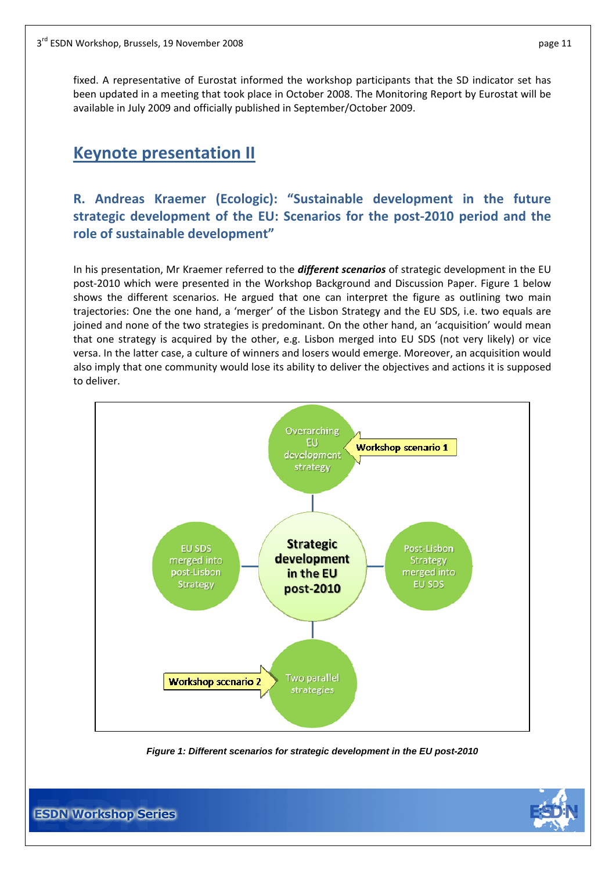<span id="page-10-0"></span>fixed. A representative of Eurostat informed the workshop participants that the SD indicator set has been updated in a meeting that took place in October 2008. The Monitoring Report by Eurostat will be available in July 2009 and officially published in September/October 2009.

# **Keynote presentation II**

### **R. Andreas Kraemer (Ecologic): "Sustainable development in the future strategic development of the EU: Scenarios for the post‐2010 period and the role of sustainable development"**

In his presentation, Mr Kraemer referred to the *different scenarios* of strategic development in the EU post‐2010 which were presented in the Workshop Background and Discussion Paper. Figure 1 below shows the different scenarios. He argued that one can interpret the figure as outlining two main trajectories: One the one hand, a 'merger' of the Lisbon Strategy and the EU SDS, i.e. two equals are joined and none of the two strategies is predominant. On the other hand, an 'acquisition' would mean that one strategy is acquired by the other, e.g. Lisbon merged into EU SDS (not very likely) or vice versa. In the latter case, a culture of winners and losers would emerge. Moreover, an acquisition would also imply that one community would lose its ability to deliver the objectives and actions it is supposed to deliver.



*Figure 1: Different scenarios for strategic development in the EU post-2010*

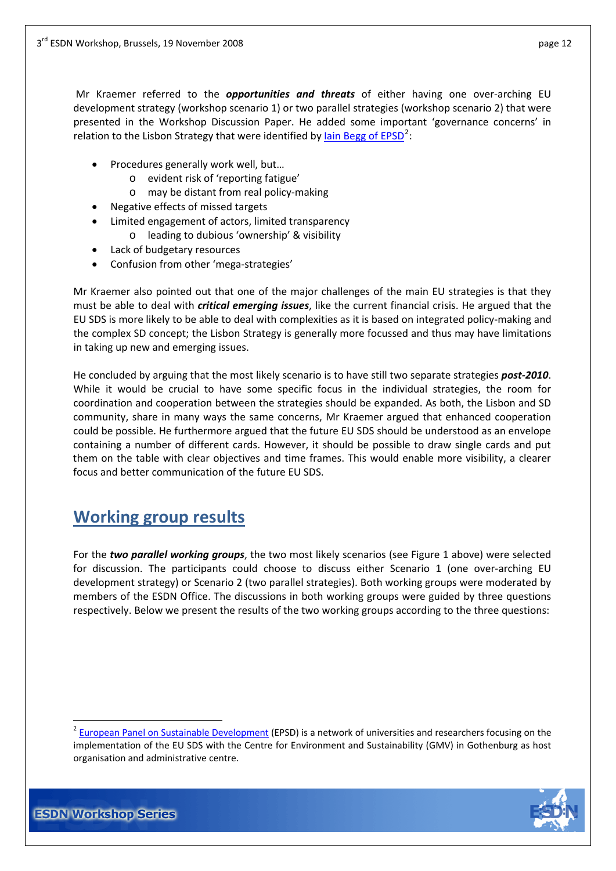<span id="page-11-0"></span>Mr Kraemer referred to the *opportunities and threats* of either having one over‐arching EU development strategy (workshop scenario 1) or two parallel strategies (workshop scenario 2) that were presented in the Workshop Discussion Paper. He added some important 'governance concerns' in relation to the Lisbon Strategy that were identified by <u>lain Begg of [EPSD](http://ec.europa.eu/economy_finance/events/2008/20080919/begg_en.pdf)</u><sup>[2](#page-11-1)</sup>:

- Procedures generally work well, but…
	- o evident risk of 'reporting fatigue'
	- o may be distant from real policy‐making
- Negative effects of missed targets
- Limited engagement of actors, limited transparency
	- o leading to dubious 'ownership' & visibility
- Lack of budgetary resources
- Confusion from other 'mega‐strategies'

Mr Kraemer also pointed out that one of the major challenges of the main EU strategies is that they must be able to deal with *critical emerging issues*, like the current financial crisis. He argued that the EU SDS is more likely to be able to deal with complexities as it is based on integrated policy‐making and the complex SD concept; the Lisbon Strategy is generally more focussed and thus may have limitations in taking up new and emerging issues.

He concluded by arguing that the most likely scenario is to have still two separate strategies *post‐2010*. While it would be crucial to have some specific focus in the individual strategies, the room for coordination and cooperation between the strategies should be expanded. As both, the Lisbon and SD community, share in many ways the same concerns, Mr Kraemer argued that enhanced cooperation could be possible. He furthermore argued that the future EU SDS should be understood as an envelope containing a number of different cards. However, it should be possible to draw single cards and put them on the table with clear objectives and time frames. This would enable more visibility, a clearer focus and better communication of the future EU SDS.

## **Working group results**

For the *two parallel working groups*, the two most likely scenarios (see Figure 1 above) were selected for discussion. The participants could choose to discuss either Scenario 1 (one over-arching EU development strategy) or Scenario 2 (two parallel strategies). Both working groups were moderated by members of the ESDN Office. The discussions in both working groups were guided by three questions respectively. Below we present the results of the two working groups according to the three questions:

<span id="page-11-1"></span><sup>&</sup>lt;sup>2</sup> European Panel on Sustainable [Development](http://www.chalmers.se/gmv/EN/projects/epsd) (EPSD) is a network of universities and researchers focusing on the implementation of the EU SDS with the Centre for Environment and Sustainability (GMV) in Gothenburg as host organisation and administrative centre.



1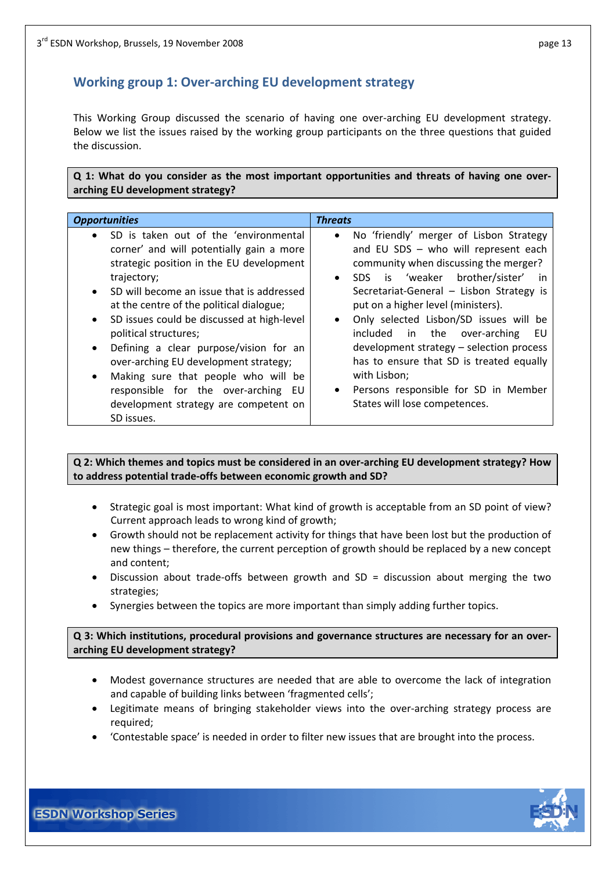### <span id="page-12-0"></span>**Working group 1: Over‐arching EU development strategy**

This Working Group discussed the scenario of having one over-arching EU development strategy. Below we list the issues raised by the working group participants on the three questions that guided the discussion.

**Q 1: What do you consider as the most important opportunities and threats of having one over‐ arching EU development strategy?**

| <b>Opportunities</b>                                                                                                                                                                                                                                                                                                                                                                                                                                                                                                                                                                                  | <b>Threats</b>                                                                                                                                                                                                                                                                                                                                                                                                                                                                                                                       |
|-------------------------------------------------------------------------------------------------------------------------------------------------------------------------------------------------------------------------------------------------------------------------------------------------------------------------------------------------------------------------------------------------------------------------------------------------------------------------------------------------------------------------------------------------------------------------------------------------------|--------------------------------------------------------------------------------------------------------------------------------------------------------------------------------------------------------------------------------------------------------------------------------------------------------------------------------------------------------------------------------------------------------------------------------------------------------------------------------------------------------------------------------------|
| SD is taken out of the 'environmental<br>$\bullet$<br>corner' and will potentially gain a more<br>strategic position in the EU development<br>trajectory;<br>SD will become an issue that is addressed<br>$\bullet$<br>at the centre of the political dialogue;<br>SD issues could be discussed at high-level<br>$\bullet$<br>political structures;<br>Defining a clear purpose/vision for an<br>$\bullet$<br>over-arching EU development strategy;<br>Making sure that people who will be<br>$\bullet$<br>responsible for the over-arching EU<br>development strategy are competent on<br>SD issues. | No 'friendly' merger of Lisbon Strategy<br>$\bullet$<br>and EU SDS - who will represent each<br>community when discussing the merger?<br>SDS is 'weaker brother/sister'<br>-in<br>Secretariat-General - Lisbon Strategy is<br>put on a higher level (ministers).<br>Only selected Lisbon/SD issues will be<br>in the over-arching<br>included<br>EU<br>development strategy - selection process<br>has to ensure that SD is treated equally<br>with Lisbon;<br>Persons responsible for SD in Member<br>States will lose competences. |

**Q 2: Which themes and topics must be considered in an over‐arching EU development strategy? How to address potential trade‐offs between economic growth and SD?**

- Strategic goal is most important: What kind of growth is acceptable from an SD point of view? Current approach leads to wrong kind of growth;
- Growth should not be replacement activity for things that have been lost but the production of new things – therefore, the current perception of growth should be replaced by a new concept and content;
- Discussion about trade‐offs between growth and SD = discussion about merging the two strategies;
- Synergies between the topics are more important than simply adding further topics.

**Q 3: Which institutions, procedural provisions and governance structures are necessary for an over‐ arching EU development strategy?**

- Modest governance structures are needed that are able to overcome the lack of integration and capable of building links between 'fragmented cells';
- Legitimate means of bringing stakeholder views into the over‐arching strategy process are required;
- 'Contestable space' is needed in order to filter new issues that are brought into the process.

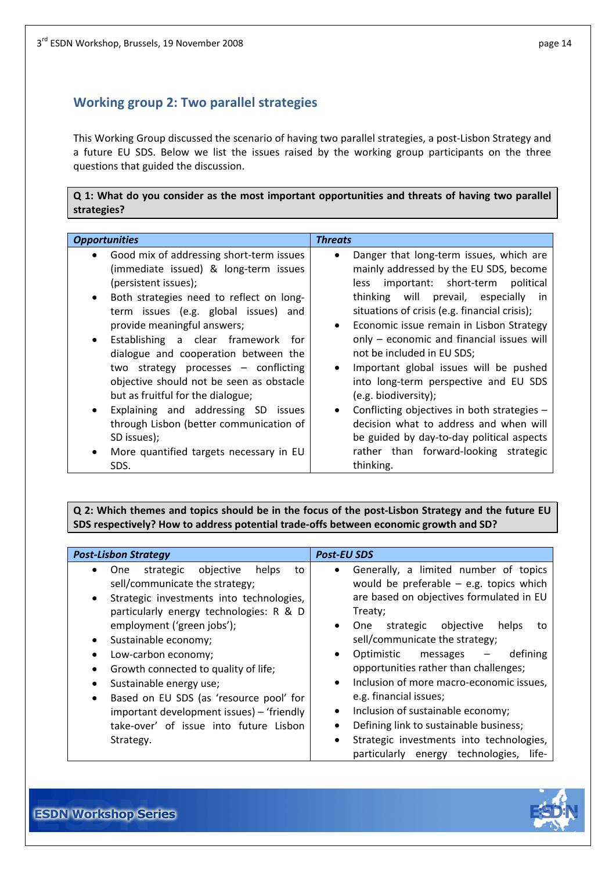### <span id="page-13-0"></span>**Working group 2: Two parallel strategies**

This Working Group discussed the scenario of having two parallel strategies, a post‐Lisbon Strategy and a future EU SDS. Below we list the issues raised by the working group participants on the three questions that guided the discussion.

**Q 1: What do you consider as the most important opportunities and threats of having two parallel strategies?**

| <b>Opportunities</b>                                                                                                                                                                                                                                                                                                                                                                                                                                                                                                                                                                                 | <b>Threats</b>                                                                                                                                                                                                                                                                                                                                                                                                                                                                                                                                                                                                                                                       |
|------------------------------------------------------------------------------------------------------------------------------------------------------------------------------------------------------------------------------------------------------------------------------------------------------------------------------------------------------------------------------------------------------------------------------------------------------------------------------------------------------------------------------------------------------------------------------------------------------|----------------------------------------------------------------------------------------------------------------------------------------------------------------------------------------------------------------------------------------------------------------------------------------------------------------------------------------------------------------------------------------------------------------------------------------------------------------------------------------------------------------------------------------------------------------------------------------------------------------------------------------------------------------------|
| Good mix of addressing short-term issues<br>(immediate issued) & long-term issues<br>(persistent issues);<br>Both strategies need to reflect on long-<br>term issues (e.g. global issues) and<br>provide meaningful answers;<br>Establishing a clear framework for<br>$\bullet$<br>dialogue and cooperation between the<br>two strategy processes - conflicting<br>objective should not be seen as obstacle<br>but as fruitful for the dialogue;<br>Explaining and addressing SD issues<br>through Lisbon (better communication of<br>SD issues);<br>More quantified targets necessary in EU<br>SDS. | Danger that long-term issues, which are<br>$\bullet$<br>mainly addressed by the EU SDS, become<br>less important: short-term<br>political<br>thinking will prevail, especially<br>-in<br>situations of crisis (e.g. financial crisis);<br>Economic issue remain in Lisbon Strategy<br>only – economic and financial issues will<br>not be included in EU SDS;<br>Important global issues will be pushed<br>into long-term perspective and EU SDS<br>(e.g. biodiversity);<br>Conflicting objectives in both strategies -<br>decision what to address and when will<br>be guided by day-to-day political aspects<br>rather than forward-looking strategic<br>thinking. |

Q 2: Which themes and topics should be in the focus of the post-Lisbon Strategy and the future EU **SDS respectively? How to address potential trade‐offs between economic growth and SD?**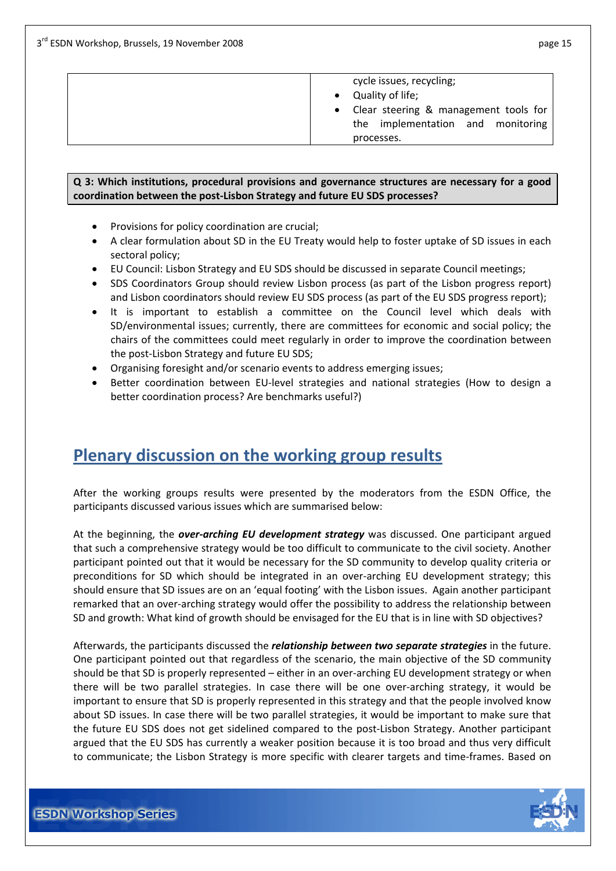<span id="page-14-0"></span>

| cycle issues, recycling;                |
|-----------------------------------------|
| • Quality of life;                      |
| • Clear steering & management tools for |
| the implementation and monitoring       |
| processes.                              |
|                                         |

**Q 3: Which institutions, procedural provisions and governance structures are necessary for a good coordination between the post‐Lisbon Strategy and future EU SDS processes?**

- Provisions for policy coordination are crucial;
- A clear formulation about SD in the EU Treaty would help to foster uptake of SD issues in each sectoral policy;
- EU Council: Lisbon Strategy and EU SDS should be discussed in separate Council meetings;
- SDS Coordinators Group should review Lisbon process (as part of the Lisbon progress report) and Lisbon coordinators should review EU SDS process (as part of the EU SDS progress report);
- It is important to establish a committee on the Council level which deals with SD/environmental issues; currently, there are committees for economic and social policy; the chairs of the committees could meet regularly in order to improve the coordination between the post-Lisbon Strategy and future EU SDS;
- Organising foresight and/or scenario events to address emerging issues;
- Better coordination between EU‐level strategies and national strategies (How to design a better coordination process? Are benchmarks useful?)

## **Plenary discussion on the working group results**

After the working groups results were presented by the moderators from the ESDN Office, the participants discussed various issues which are summarised below:

At the beginning, the *over‐arching EU development strategy* was discussed. One participant argued that such a comprehensive strategy would be too difficult to communicate to the civil society. Another participant pointed out that it would be necessary for the SD community to develop quality criteria or preconditions for SD which should be integrated in an over-arching EU development strategy; this should ensure that SD issues are on an 'equal footing' with the Lisbon issues. Again another participant remarked that an over-arching strategy would offer the possibility to address the relationship between SD and growth: What kind of growth should be envisaged for the EU that is in line with SD objectives?

Afterwards, the participants discussed the *relationship between two separate strategies* in the future. One participant pointed out that regardless of the scenario, the main objective of the SD community should be that SD is properly represented – either in an over-arching EU development strategy or when there will be two parallel strategies. In case there will be one over‐arching strategy, it would be important to ensure that SD is properly represented in this strategy and that the people involved know about SD issues. In case there will be two parallel strategies, it would be important to make sure that the future EU SDS does not get sidelined compared to the post-Lisbon Strategy. Another participant argued that the EU SDS has currently a weaker position because it is too broad and thus very difficult to communicate; the Lisbon Strategy is more specific with clearer targets and time‐frames. Based on

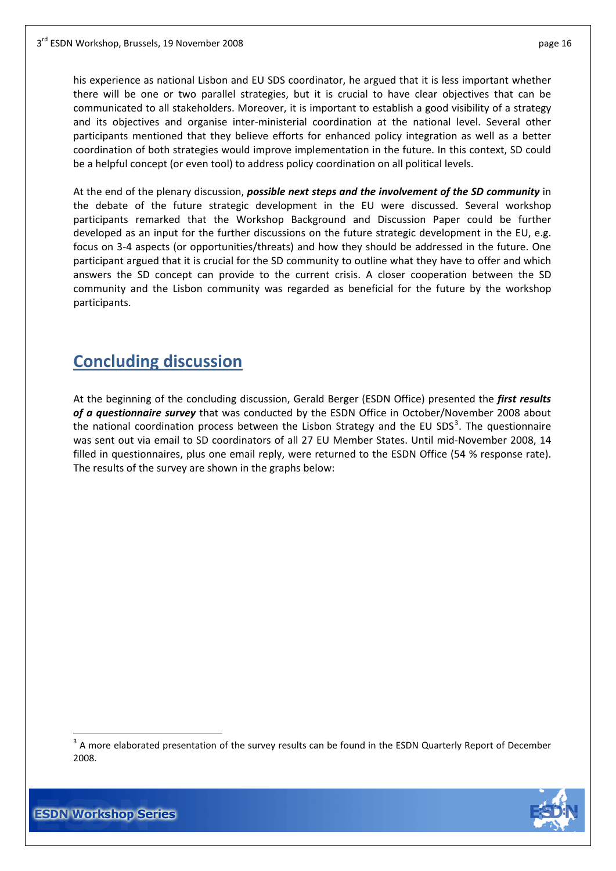<span id="page-15-0"></span>his experience as national Lisbon and EU SDS coordinator, he argued that it is less important whether there will be one or two parallel strategies, but it is crucial to have clear objectives that can be communicated to all stakeholders. Moreover, it is important to establish a good visibility of a strategy and its objectives and organise inter-ministerial coordination at the national level. Several other participants mentioned that they believe efforts for enhanced policy integration as well as a better coordination of both strategies would improve implementation in the future. In this context, SD could be a helpful concept (or even tool) to address policy coordination on all political levels.

At the end of the plenary discussion, *possible next steps and the involvement of the SD community* in the debate of the future strategic development in the EU were discussed. Several workshop participants remarked that the Workshop Background and Discussion Paper could be further developed as an input for the further discussions on the future strategic development in the EU, e.g. focus on 3‐4 aspects (or opportunities/threats) and how they should be addressed in the future. One participant argued that it is crucial for the SD community to outline what they have to offer and which answers the SD concept can provide to the current crisis. A closer cooperation between the SD community and the Lisbon community was regarded as beneficial for the future by the workshop participants.

# **Concluding discussion**

At the beginning of the concluding discussion, Gerald Berger (ESDN Office) presented the *first results of a questionnaire survey* that was conducted by the ESDN Office in October/November 2008 about the national coordination process between the Lisbon Strategy and the EU SDS<sup>[3](#page-15-1)</sup>. The questionnaire was sent out via email to SD coordinators of all 27 EU Member States. Until mid‐November 2008, 14 filled in questionnaires, plus one email reply, were returned to the ESDN Office (54 % response rate). The results of the survey are shown in the graphs below:

<span id="page-15-1"></span><sup>&</sup>lt;sup>3</sup> A more elaborated presentation of the survey results can be found in the ESDN Quarterly Report of December 2008.



<u>.</u>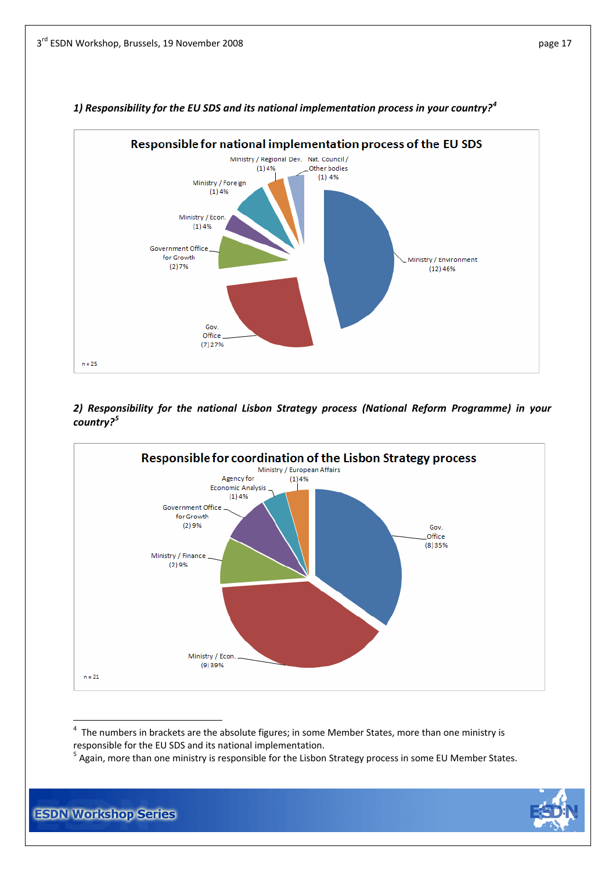

*1) Responsibility for the EU SDS and its national implementation process in your country?[4](#page-16-0)*

*2) Responsibility for the national Lisbon Strategy process (National Reform Programme) in your country?[5](#page-16-1)*



<span id="page-16-0"></span><sup>4</sup> The numbers in brackets are the absolute figures; in some Member States, more than one ministry is responsible for the EU SDS and its national implementation.<br><sup>5</sup> Again, more than one ministry is responsible for the Lisbon Strategy process in some EU Member States.

<span id="page-16-1"></span>

1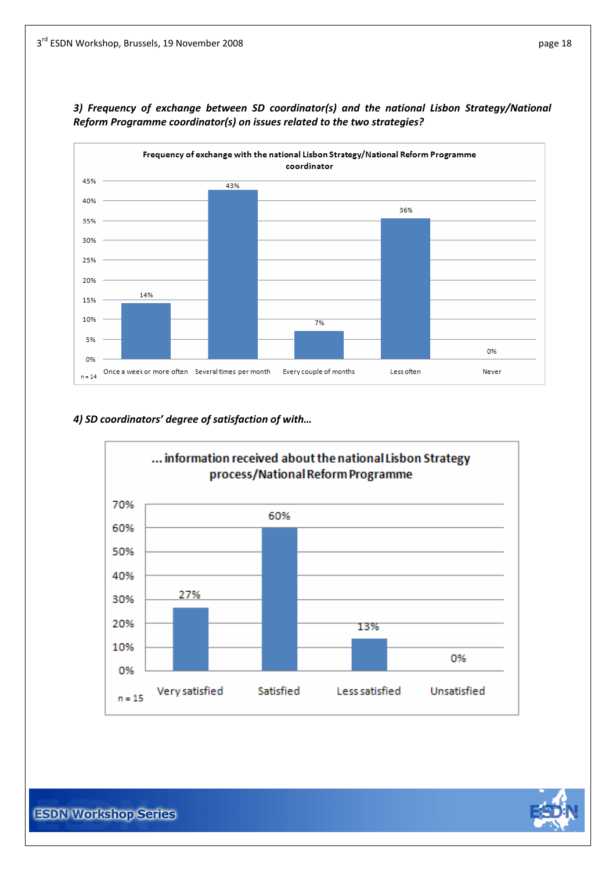

*3) Frequency of exchange between SD coordinator(s) and the national Lisbon Strategy/National Reform Programme coordinator(s) on issues related to the two strategies?*

#### *4) SD coordinators' degree of satisfaction of with…*



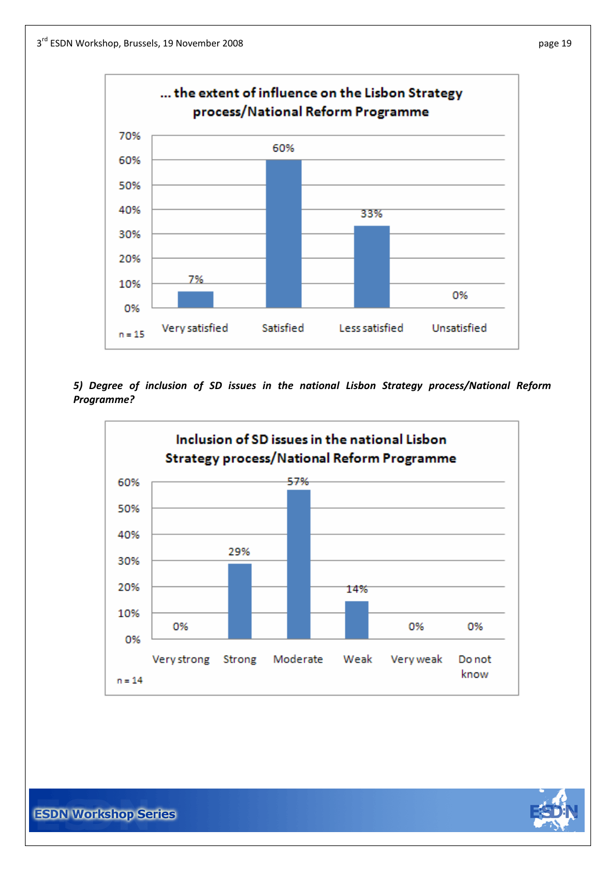

*5) Degree of inclusion of SD issues in the national Lisbon Strategy process/National Reform Programme?*



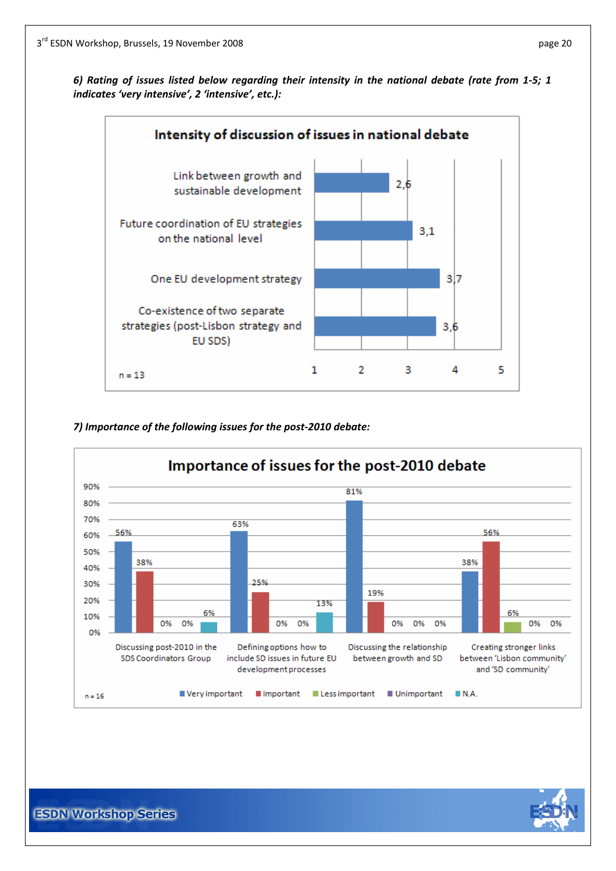6) Rating of issues listed below regarding their intensity in the national debate (rate from 1-5; 1 *indicates 'very intensive', 2 'intensive', etc.):*



*7) Importance of the following issues for the post‐2010 debate:*

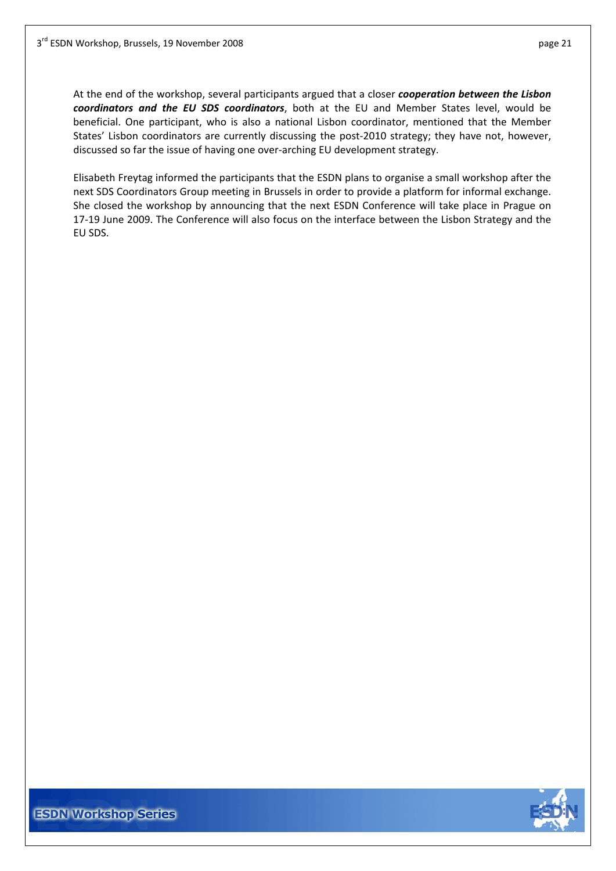At the end of the workshop, several participants argued that a closer *cooperation between the Lisbon coordinators and the EU SDS coordinators*, both at the EU and Member States level, would be beneficial. One participant, who is also a national Lisbon coordinator, mentioned that the Member States' Lisbon coordinators are currently discussing the post-2010 strategy; they have not, however, discussed so far the issue of having one over‐arching EU development strategy.

Elisabeth Freytag informed the participants that the ESDN plans to organise a small workshop after the next SDS Coordinators Group meeting in Brussels in order to provide a platform for informal exchange. She closed the workshop by announcing that the next ESDN Conference will take place in Prague on 17‐19 June 2009. The Conference will also focus on the interface between the Lisbon Strategy and the EU SDS.